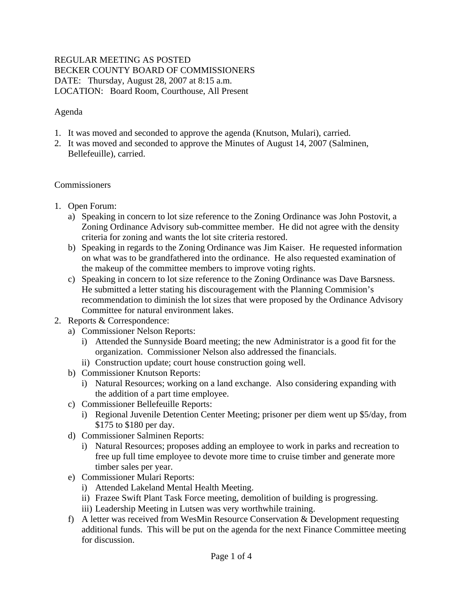## REGULAR MEETING AS POSTED BECKER COUNTY BOARD OF COMMISSIONERS DATE: Thursday, August 28, 2007 at 8:15 a.m. LOCATION: Board Room, Courthouse, All Present

## Agenda

- 1. It was moved and seconded to approve the agenda (Knutson, Mulari), carried.
- 2. It was moved and seconded to approve the Minutes of August 14, 2007 (Salminen, Bellefeuille), carried.

### Commissioners

- 1. Open Forum:
	- a) Speaking in concern to lot size reference to the Zoning Ordinance was John Postovit, a Zoning Ordinance Advisory sub-committee member. He did not agree with the density criteria for zoning and wants the lot site criteria restored.
	- b) Speaking in regards to the Zoning Ordinance was Jim Kaiser. He requested information on what was to be grandfathered into the ordinance. He also requested examination of the makeup of the committee members to improve voting rights.
	- c) Speaking in concern to lot size reference to the Zoning Ordinance was Dave Barsness. He submitted a letter stating his discouragement with the Planning Commision's recommendation to diminish the lot sizes that were proposed by the Ordinance Advisory Committee for natural environment lakes.
- 2. Reports & Correspondence:
	- a) Commissioner Nelson Reports:
		- i) Attended the Sunnyside Board meeting; the new Administrator is a good fit for the organization. Commissioner Nelson also addressed the financials.
		- ii) Construction update; court house construction going well.
	- b) Commissioner Knutson Reports:
		- i) Natural Resources; working on a land exchange. Also considering expanding with the addition of a part time employee.
	- c) Commissioner Bellefeuille Reports:
		- i) Regional Juvenile Detention Center Meeting; prisoner per diem went up \$5/day, from \$175 to \$180 per day.
	- d) Commissioner Salminen Reports:
		- i) Natural Resources; proposes adding an employee to work in parks and recreation to free up full time employee to devote more time to cruise timber and generate more timber sales per year.
	- e) Commissioner Mulari Reports:
		- i) Attended Lakeland Mental Health Meeting.
		- ii) Frazee Swift Plant Task Force meeting, demolition of building is progressing.
		- iii) Leadership Meeting in Lutsen was very worthwhile training.
	- f) A letter was received from WesMin Resource Conservation & Development requesting additional funds. This will be put on the agenda for the next Finance Committee meeting for discussion.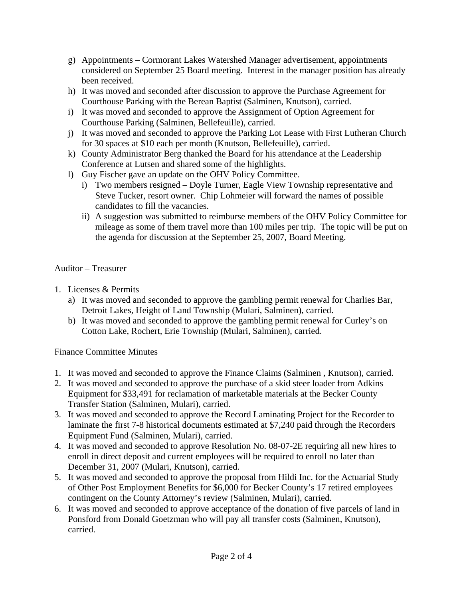- g) Appointments Cormorant Lakes Watershed Manager advertisement, appointments considered on September 25 Board meeting. Interest in the manager position has already been received.
- h) It was moved and seconded after discussion to approve the Purchase Agreement for Courthouse Parking with the Berean Baptist (Salminen, Knutson), carried.
- i) It was moved and seconded to approve the Assignment of Option Agreement for Courthouse Parking (Salminen, Bellefeuille), carried.
- j) It was moved and seconded to approve the Parking Lot Lease with First Lutheran Church for 30 spaces at \$10 each per month (Knutson, Bellefeuille), carried.
- k) County Administrator Berg thanked the Board for his attendance at the Leadership Conference at Lutsen and shared some of the highlights.
- l) Guy Fischer gave an update on the OHV Policy Committee.
	- i) Two members resigned Doyle Turner, Eagle View Township representative and Steve Tucker, resort owner. Chip Lohmeier will forward the names of possible candidates to fill the vacancies.
	- ii) A suggestion was submitted to reimburse members of the OHV Policy Committee for mileage as some of them travel more than 100 miles per trip. The topic will be put on the agenda for discussion at the September 25, 2007, Board Meeting.

# Auditor – Treasurer

- 1. Licenses & Permits
	- a) It was moved and seconded to approve the gambling permit renewal for Charlies Bar, Detroit Lakes, Height of Land Township (Mulari, Salminen), carried.
	- b) It was moved and seconded to approve the gambling permit renewal for Curley's on Cotton Lake, Rochert, Erie Township (Mulari, Salminen), carried.

# Finance Committee Minutes

- 1. It was moved and seconded to approve the Finance Claims (Salminen , Knutson), carried.
- 2. It was moved and seconded to approve the purchase of a skid steer loader from Adkins Equipment for \$33,491 for reclamation of marketable materials at the Becker County Transfer Station (Salminen, Mulari), carried.
- 3. It was moved and seconded to approve the Record Laminating Project for the Recorder to laminate the first 7-8 historical documents estimated at \$7,240 paid through the Recorders Equipment Fund (Salminen, Mulari), carried.
- 4. It was moved and seconded to approve Resolution No. 08-07-2E requiring all new hires to enroll in direct deposit and current employees will be required to enroll no later than December 31, 2007 (Mulari, Knutson), carried.
- 5. It was moved and seconded to approve the proposal from Hildi Inc. for the Actuarial Study of Other Post Employment Benefits for \$6,000 for Becker County's 17 retired employees contingent on the County Attorney's review (Salminen, Mulari), carried.
- 6. It was moved and seconded to approve acceptance of the donation of five parcels of land in Ponsford from Donald Goetzman who will pay all transfer costs (Salminen, Knutson), carried.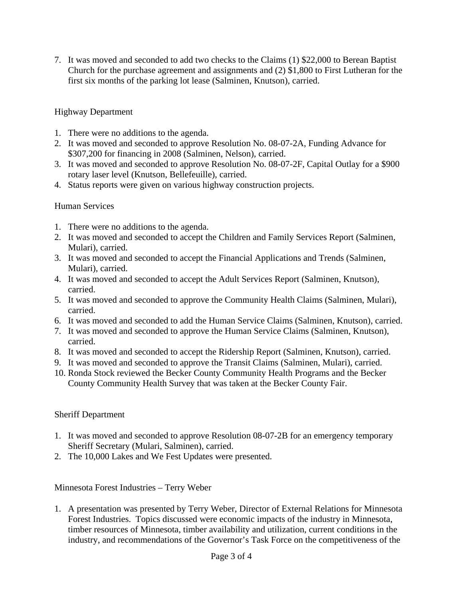7. It was moved and seconded to add two checks to the Claims (1) \$22,000 to Berean Baptist Church for the purchase agreement and assignments and (2) \$1,800 to First Lutheran for the first six months of the parking lot lease (Salminen, Knutson), carried.

## Highway Department

- 1. There were no additions to the agenda.
- 2. It was moved and seconded to approve Resolution No. 08-07-2A, Funding Advance for \$307,200 for financing in 2008 (Salminen, Nelson), carried.
- 3. It was moved and seconded to approve Resolution No. 08-07-2F, Capital Outlay for a \$900 rotary laser level (Knutson, Bellefeuille), carried.
- 4. Status reports were given on various highway construction projects.

### Human Services

- 1. There were no additions to the agenda.
- 2. It was moved and seconded to accept the Children and Family Services Report (Salminen, Mulari), carried.
- 3. It was moved and seconded to accept the Financial Applications and Trends (Salminen, Mulari), carried.
- 4. It was moved and seconded to accept the Adult Services Report (Salminen, Knutson), carried.
- 5. It was moved and seconded to approve the Community Health Claims (Salminen, Mulari), carried.
- 6. It was moved and seconded to add the Human Service Claims (Salminen, Knutson), carried.
- 7. It was moved and seconded to approve the Human Service Claims (Salminen, Knutson), carried.
- 8. It was moved and seconded to accept the Ridership Report (Salminen, Knutson), carried.
- 9. It was moved and seconded to approve the Transit Claims (Salminen, Mulari), carried.
- 10. Ronda Stock reviewed the Becker County Community Health Programs and the Becker County Community Health Survey that was taken at the Becker County Fair.

### Sheriff Department

- 1. It was moved and seconded to approve Resolution 08-07-2B for an emergency temporary Sheriff Secretary (Mulari, Salminen), carried.
- 2. The 10,000 Lakes and We Fest Updates were presented.

Minnesota Forest Industries – Terry Weber

1. A presentation was presented by Terry Weber, Director of External Relations for Minnesota Forest Industries. Topics discussed were economic impacts of the industry in Minnesota, timber resources of Minnesota, timber availability and utilization, current conditions in the industry, and recommendations of the Governor's Task Force on the competitiveness of the